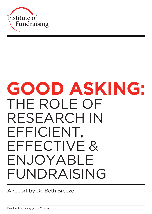

# **GOOD ASKING:** THE ROLE OF RESEARCH IN EFFICIENT, EFFECTIVE & ENJOYABLE FUNDRAISING

A report by Dr. Beth Breeze

Excellent fundraising *for a better world*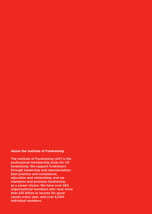#### **About the Institute of Fundraising**

The Institute of Fundraising (IoF) is the professional membership body for UK fundraising. We support fundraisers through leadership and representation; best practice and compliance; education and networking; and we champion and promote fundraising as a career choice. We have over 560 organisational members who raise more than £10 billion in income for good causes every year, and over 6,000 individual members.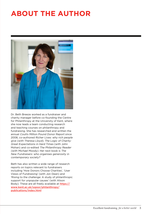# **ABOUT THE AUTHOR**



Dr. Beth Breeze worked as a fundraiser and charity manager before co-founding the Centre for Philanthropy at the University of Kent, where she now leads a team conducting research and teaching courses on philanthropy and fundraising. She has researched and written the annual Coutts Million Pound Donor Report since 2008, co-authored Richer Lives: why rich people give (with Theresa Lloyd), The Logic of Charity: Great Expectations in Hard Times (with John Mohan) and co-edited The Philanthropy Reader (with Michael Moody). Her next book is The New Fundraisers: who organises generosity in contemporary society?

Beth has also written a wide range of research reports on topics relevant to fundraisers including 'How Donors Choose Charities', 'User Views of Fundraising' (with Jon Dean) and 'Rising to the challenge: A study of philanthropic support for unpopular causes' (with Alison Body). These are all freely available at [https://](https://www.kent.ac.uk/sspssr/philanthropy/publications/index.html) [www.kent.ac.uk/sspssr/philanthropy/](https://www.kent.ac.uk/sspssr/philanthropy/publications/index.html) [publications/index.html](https://www.kent.ac.uk/sspssr/philanthropy/publications/index.html)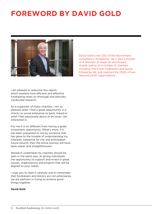# **FOREWORD BY DAVID GOLD**



I am pleased to welcome this report, which explains how efficient and effective fundraising relies on thorough and ethically conducted research.

As a supporter of many charities, I am so pleased when I find a great opportunity in a charity or social enterprise to back, linked to what I feel passionate about or an issue I am interested in.

For me it is no different from having a great investment opportunity. What's more, if it has been presented to me by someone that has gone to the trouble of understanding my interests, tolerance for risk and anticipated future returns, then the entire journey will have been easier and straightforward.

Research undertaken by charities should be seen in the same way, as giving individuals the opportunity to support and invest in great causes, organisations and projects that will be aligned to your needs.

I urge you to read it carefully and to remember that fundraisers and donors are not adversaries, we are partners in trying to achieve good things together.

#### **David Gold**

David Gold is the CEO of the recruitment consultancy, Prospectus. He is also a trustee of A Glimmer of Hope UK and Project Oracle, patron of a number of charities including The Foyer Federation and Social Enterprise UK, and mentors the CEOs of two 'beyond profit' organisations.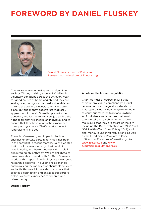# **FOREWORD BY DANIEL FLUSKEY**



Daniel Fluskey is Head of Policy and Research at the Institute of Fundraising.

Fundraisers do an amazing and vital job in our society. Through raising around £10 billion in voluntary donations across the UK every year for good causes at home and abroad they are saving lives, caring for the most vulnerable, and making the world a cleaner, safer, and better place. But the money doesn't just magically appear out of thin air. Something sparks the donation, and it's the fundraisers job to find the right spark that will inspire an individual and to ensure that they have a fantastic experience in supporting a cause. That's what excellent fundraising is all about.

The role of research, and in particular how charities undertake certain activities, has been in the spotlight in recent months. So, we wanted to find out more about why charities do it, how it works, and better understand its role in encouraging philanthropy. We are delighted to have been able to work with Dr. Beth Breeze to produce this report. The findings are clear: good research is essential in building relationships and in raising the money that charitable services and activities need. It provides that spark that creates a connection and engages supporters, delivers a great experience for people, and raises money.

### **Daniel Fluskey**

#### A note on the law and regulation

Charities must of course ensure that their fundraising is compliant with legal requirements and regulatory standards. This report is not a 'how to' guide on how to carry out research fairly and lawfully. All fundraisers and charities that want to undertake research activities should make sure that they are aware of the law including the Data Protection Act 1998 (and GDPR with effect from 25 May 2018) and anti-money-laundering regulations, as well as the Fundraising Regulator's Code of Practice. For more information go to [www.ico.org.uk](http://www.ico.org.uk) and [www.](http://www.fundraisingregulator.org.uk) [fundraisingregulator.org.uk](http://www.fundraisingregulator.org.uk)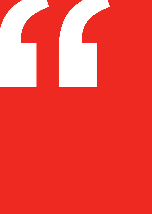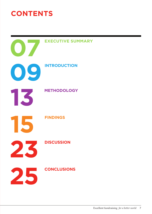# **CONTENTS**

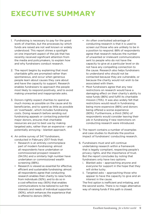# **EXECUTIVE SUMMARY**

- 1. Fundraising is necessary to pay for the good work of charities, but the processes by which funds are raised are not well known or widely understood. This report shines a spotlight on one important aspect of the job that has recently received significant attention from the media and policymakers, to explain how and why fundraisers conduct research.
- 2. The report begins by explaining that most charitable gifts are prompted rather than spontaneous, and occur when generous people learn about causes they care about and have the capacity to support. Research enables fundraisers to approach the people most likely to respond positively, and to avoid making unwanted and inappropriate asks.
- 3. Donors rightly expect charities to spend as much money as possible on the cause and its beneficiaries, and to spend as little as possible on 'overheads', which includes fundraising costs. Doing research before sending out fundraising appeals or contacting potential major donors, ensures that charitable resources are put to best use by making targeted asks, rather than an expensive – and potentially annoying – blanket approach.
- 4. An online survey of 347 fundraisers, conducted in February 2017 finds that:
	- Research is an entirely commonplace part of modern fundraising: almost all respondents have undertaken or commissioned prospect research (94.5%) and a similarly high number have undertaken or commissioned wealth screening (88%).
	- Research is viewed as essential for effective, efficient and sustainable fundraising: almost all respondents agree that conducting research enables their charity to raise funds from individuals (92%), and to do so in a cost-effective way (90%) that enables communications to be tailored to suit the interests and needs of individual supporters (90%), which enhances the experience that is offered to donors (90%).
- An often overlooked advantage of conducting research is that it is used to screen out those who are unlikely to be in a position to respond. 88% of respondents agree that research reduces the number of unwanted or irrelevant communications sent to people who do not have the capacity to give at a particular level or do not have any compelling connection to the cause. Research also helps fundraisers to understand who should not be contacted because they are vulnerable, or because the charity would not wish to be associated with them.
- Most fundraisers agree that any new restrictions on research would have a damaging effect on their charity's ability to raise funds (86%) and fulfill its charitable mission (75%). It was also widely felt that restrictions would result in fundraising being more expensive (86%) and donors being offered a worse experience (80%). Furthermore, a third (36%) of respondents would consider leaving their job in fundraising if new restrictions on conducting research were introduced.
- 5. The report contains a number of examples and case studies to illustrate the positive impact of fundraisers' conducting research.
- 6. Fundraisers must and will continue undertaking research within a framework that is legally compliant, respecting people's privacy rights, and the importance of trust. But the report concludes by noting that fundraisers only have two options:
	- i. Blanket asks approaching anyone and everyone for support in the hope that they will strike lucky.
	- ii. Targeted asks approaching those who appear to have the capacity to give and an interest in the cause.

The first option is inefficient and irritating, and the second works. There is no magic alternative way of raising funds if this path is closed.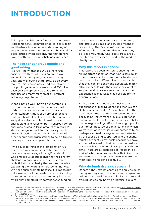# **INTRODUCTION**

This report explains why fundraisers do research. It presents newly commissioned data to explain and illustrate how a better understanding of supporters enables more money to be raised for good causes whilst also ensuring that donors have a better and more satisfying experience.

# **The need for generous people and good asking**

It is well known that the UK is a generous society: two-thirds of us (62%) give away some of our money to good causes every year, and well over a third (39%) do so every month<sup>1</sup>. This is good news, and collectively this public generosity raises around £10 billion each year to support c.200,000 registered charities and many more smaller, informal voluntary organisations<sup>2</sup>.

What is not so well known or understood is the fundraising process that enables most of those charitable transactions to occur. Understandably, most of us prefer to believe that our charitable acts are entirely spontaneous and private decisions, but in reality most charitable giving relies on both generous donors and good asking. A large amount of research<sup>3</sup> shows that generous intentions rarely turn into charitable action without the intervention of other people and organisations to help altruistic people put their principles into practice.

If we pause to think of the last donation we gave, then we can likely identify some other people who encouraged that gift: a friend who emailed us about sponsoring their charity challenge, a colleague who asked us to buy raffle tickets, or a charity that sent us materials explaining their work and how we might help. We need such prompts because it is impossible to be aware of all the needs that exist, including those on our doorstep. We often only become aware that something important needs funding

because someone draws our attention to it, and offers us a simple and trusted means of responding. That 'someone' is a fundraiser. Whether it is their job to raise funds or they do it as a volunteer, fundraisers are a largely invisible and yet essential part of the modern charity sector.

# **Why this report is needed**

This report has been written to shed light on an important aspect of what fundraisers do. In order to successfully prompt gifts, fundraisers need to conduct different kinds of research so that they can efficiently and accurately match altruistic people with the causes they want to support, and do so in a way that makes the experience as pleasurable as possible for the generous donor.

Again, if we think about our most recent experiences of making donations then we can likely spot some sort of 'research' at play: the friend doing the charity challenge might email because he knows from previous experience that we're the kind of person who tries to help; the colleague selling raffle tickets might predict our interest because of conversations in which we've mentioned that issue sympathetically, or perhaps a mutual colleague has been affected by the cause being supported; and the charity might have sent us materials because we have expressed interest in their work in the past, or made a public statement in sympathy with their aims. These are all examples of 'research-led asking', which enables people with limited time and resources to approach those who are the most likely to respond positively.

# **Why do fundraisers do research?**

Donors rightly expect charities to apply as much money as they can to the cause and to spend as little on 'overheads' as possible. Every book and training course on 'how to fundraise' explains

The figures in this sentence are both from the UK Giving 2015 survey, published by the Charities Aid Foundation (CAF) [https://www.cafonline.](https://www.cafonline.org/docs/default-source/personal-giving/caf_ukgiving2015_1891a_web_230516.pdf?sfvrsn=2) [org/docs/default-source/personal-giving/caf\\_ukgiving2015\\_1891a\\_web\\_230516.pdf?sfvrsn=2](https://www.cafonline.org/docs/default-source/personal-giving/caf_ukgiving2015_1891a_web_230516.pdf?sfvrsn=2)

The figure of c.£10 billion is from the same CAF report cited in footnote 1; the estimated number of registered charities is given in Mohan and Breeze (2015), p.72.

<sup>3</sup> For example: Bryant, W.K., Slaughter, H.J., Kang, H. and Tax, A. (2003) Participating in Philanthropic Activities: Donating Money and Time, Journal of Consumer Policy 26, pp.43-73; Schervish, P. and Havens, J. (1997) Social Participation and Charitable Giving, Voluntas 8(3), pp.235-260; Sokolowski, W. (1996) Show me the way to the next worthy deed: towards a microstructural theory of volunteering and giving. Voluntas 7(3), pp. 259-278.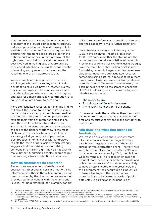that the best way of raising the most amount of money at the lowest cost is to think carefully before approaching people and to use publicly available information to frame the request. This ensures that the right people are asked for the right amount of money, in the right way, at the right time. It also helps to avoid the time and cost involved in making asks that are unlikely to succeed, which has the simultaneous benefit of avoiding annoyance to the person on the receiving end of an inappropriate ask.

As an example of this approach in practice: a colleague who asks us to buy a lot of raffle tickets for a cause we have no interest in a few days before payday, will be far less successful than the colleague who waits until after payday and asks for a more affordable contribution for a cause that we are known to care about.

More sophisticated research, for example finding out about the reason for a donor's interest in a cause or their prior support in this area, enables the fundraiser to offer a funding proposal that reflects their frame of reference and is in line with the charity's philosophy and strategy. Successful fundraisers understand that tailoring the ask to the donor's world view is the most likely route to a successful outcome. This is a strategy of alignment, not of persuasion. Best practice amongst successful fundraisers rejects the 'myth of persuasion'4 which wrongly suggests that fundraising is about talking someone into making a gift they do not wish to make. Rather, fundraising enables people to put their existing altruistic intentions into action.

### **How do fundraisers do research?**

Researchers use a variety of methods and sources to gather and analyse information. This information is either in the public domain, or has been provided by the donors themselves in their previous communications with the charity and is useful for understanding, for example, donors'

philanthropic preferences, professional interests and their capacity to make further donations.

Most charities are very small: three-quarters (73%) have an annual income of less than £100,0005 so have neither the staffing nor the resources to undertake sophisticated research. Free online searches (for example, using Google) have therefore been the starting point in most fundraising research. Larger charities have been able to conduct more sophisticated research, sometimes using external agencies to help them look at much larger datasets to identify relevant potential donors. Whatever the tools used, the basic principle remains the same: to check the 'ABC' of fundraising, which means finding out whether someone has:

- The **A**bility to give
- An indication of **B**elief in the cause
- Any existing **C**onnection to the charity

If someone meets these criteria, then the charity can be more confident that it is a good use of time and resources to try and make contact with that person.

# **'Big data' and what that means for fundraising**

We live in an era where there is vastly more information available at our fingertips than ever before, largely as a result of the rapid spread of free information online. The very first website was published as recently as 1991 and in just over two decades, by 2014, the 1 billionth website went live. This explosion of data has brought many benefits for both the private and public sectors: successful businesses are likely to have a sophisticated online presence<sup>6</sup>, and the government has encouraged all industries to take advantage of the opportunities presented by sophisticated analysis of public data sets<sup>7</sup>. In particular, intelligent use of

<sup>4</sup> Matheny, R. (1995) Communication in cultivation and solicitation of major gift donors. New Directions for Philanthropic Fundraising 10, p.43.

House of Lords (2017) Stronger charities for a stronger society, London: House of Lords

For more information, see: Bakhshi, H. and Mateos-Garcia, J. (2012) Rise of the Datavores: How UK businesses analyse and use online data, London: Nesta; and Symons, T. (2016) Datavores of Local Government: Using data to make services more personalized, effective and efficient, London: Nesta

UK Government (2013) Seizing the data opportunity: A strategy for UK data capability, London: Department for Business, Innovation and Skills.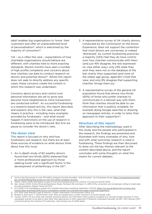data<sup>8</sup> enables big organisations to 'know' their customers and offer an unprecedented level of personalisation<sup>9</sup>, which is welcomed by the majority of consumers<sup>10</sup>.

Yet – as is often the case – expectations of how charitable organisations should behave are different, with charities held to more exacting standards. Recent months have seen a number of high profile complaints and concerns about how charities use data to conduct research on donors and potential donors<sup>11</sup>. Whilst this report does not seek to directly address any specific cases, these concerns create the context in which this research was undertaken.

Concerns about privacy and control over personal information are set to grow and become more heightened as more transactions are conducted online<sup>12</sup>. As successful fundraising is a research-based activity, this report describes and explains why this is the case, what that means in practice – including many examples provided by fundraisers – and what would happen if restrictions on the use of research in fundraising were to be introduced. But first we pause to consider the donor's view.

### **The donor view**

This report is focused on why and how fundraisers use research, but there are at least three sources of evidence on what donors think about how this issue:

1. An in-depth study of 82 wealthy donors found that two-thirds (65%) believed that a 'more professional approach by those seeking funds' was a significant factor in the development of philanthropy in the UK13.

- 2. A representative survey of UK charity donors, conducted by the Commission on the Donor Experience, does not support the contention that most donors are concerned, or indeed 'distressed', by current fundraising practices: a majority (54%) feel they do have control over how charities communicate with them (and just 16% disagree, the rest expressed no view either way); only 23% state they wish they were not on the database of the last charity they supported (and none of the oldest age group, aged 80+) hold that view; and only 8% disagree that supporting charities 'brings them joy'.
- 3. A representative survey of the general UK population found that almost two-thirds (60%) of those who prefer charities to communicate in a tailored way with them, think that charities should be able to use information that is publicly available, for example doing Google searches or drawing on newspaper articles, in order to tailor their approach to their supporters<sup>14</sup>.

#### **Structure of this report**

After describing the methodology used in this study and the people who participated in the research, the findings are presented and illustrated with many examples of why, how and with what outcomes research is used in fundraising. These findings are then discussed to draw out the key themes relevant to the context described above, and the report concludes with some thoughts on what this means for current debates.

<sup>8</sup> Such as the free access to over 170 million company records provided - and promoted - by Companies House: [https://companieshouse.blog.](https://companieshouse.blog.gov.uk/2015/06/22/free) [gov.uk/2015/06/22/free-](https://companieshouse.blog.gov.uk/2015/06/22/free)access-to-over-170-million-company-records/

<sup>9</sup> Clamp, Adrian (2016) Reimagine an age of more personalized service for citizens, Civil Service World 1/9/16.

<sup>10</sup> See: Janrain (2013) Online Personal Experience Study, Portland, OR; and Nasri, G. (2012) Why consumers are increasingly willing to trade data for personalization, Digital Trends 10/12/12

<sup>11</sup> ICO (2016) ICO investigation reveals how charities have been exploiting supporters, 6/12/16. [https://ico.org.uk/about-the-ico/news-and](https://ico.org.uk/about-the-ico/news-and-events/news-and-blogs/2016/12/ico-investigation-reveals-how-charities-have-been-exploiting-supporters/)[events/news-and-blogs/2016/12/ico-investigation-reveals-how-charities-have-been-exploiting-supporters/](https://ico.org.uk/about-the-ico/news-and-events/news-and-blogs/2016/12/ico-investigation-reveals-how-charities-have-been-exploiting-supporters/)

<sup>12</sup> ICO (2011) Data Sharing Code of Practice, London: Information Commissioners Office, p.4

<sup>13</sup> Breeze, B. and Lloyd, T. (2013) Richer Lives: Why rich people give, London: Directory of Social Change, p.83.

<sup>14</sup> YouGov (2017): Do you think that charities should be able to use information that's publicly available (e.g. through Google searches or local newspaper articles) to be able to best tailor their approaches to their supporters? Fieldwork undertaken between the 8th- 14th February 2017, commissioned by the Institute of Fundraising. Total sample size of 2,006 adults.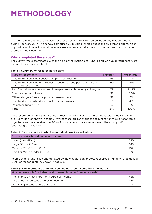# **METHODOLOGY**

In order to find out how fundraisers use research in their work, an online survey was conducted during February 2017. The survey comprised 20 multiple-choice questions plus three opportunities to provide additional information where respondents could expand on their answers and provide examples and illustrations.

# **Who completed the survey?**

The survey was disseminated with the help of the Institute of Fundraising. 347 valid responses were received, as shown in table 1:

#### Table 1: Summary of research participants

| Type of respondent                                                                            | <b>Number</b> | Percentage |
|-----------------------------------------------------------------------------------------------|---------------|------------|
| Paid fundraisers who specialise in prospect research                                          | 93            | 27%        |
| Paid fundraisers who do prospect research as one part, but not the<br>main part, of their job | 90            | 26%        |
| Paid fundraisers who make use of prospect research done by colleagues                         | 79            | 22.5%      |
| Fundraising consultants                                                                       | 37            | 10.5%      |
| Others (largely freelance prospect researchers)                                               | 32            | 9%         |
| Paid fundraisers who do not make use of prospect research                                     | 13            | 4%         |
| Volunteer fundraisers                                                                         | 3             | $1\%$      |
| Total                                                                                         | 347           | 100%       |

Most respondents (88%) work or volunteer in or for major or large charities with annual income over £1 million, as shown in table 2. Whilst these bigger charities account for only 3% of charitable organisations, they receive over 80% of income<sup>15</sup> and therefore represent the most prolific fundraising organisations.

#### Table 2: Size of charity in which respondents work or volunteer

| Size of charity based on annual income |     |
|----------------------------------------|-----|
| Major (over £10m)                      | 54% |
| Large $(f1m - f10m)$                   | 34% |
| Medium (£100,000 - £1m)                | 10% |
| Small or Micro (under £100,000)        | 2%  |

Income that is fundraised and donated by individuals is an important source of funding for almost all (96%) of respondents, as shown in table 3.

#### Table 3: The importance of fundraised and donated income from individuals

| How important is fundraised and donated income from individuals? |     |
|------------------------------------------------------------------|-----|
| The charity's most important source of income                    | 48% |
| One of our important sources of income                           | 48% |
| Not an important source of income                                | 4%  |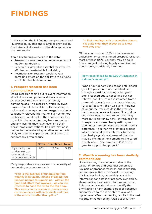# **FINDINGS**

In this section the full findings are presented and illustrated by quotes and examples provided by fundraisers. A discussion of the data appears in the next section.

#### Three key findings emerge in the data:

- Research is an entirely commonplace part of modern fundraising.
- Research is viewed as essential for effective, efficient and sustainable fundraising.
- Restrictions on research would have a damaging effect on the ability to raise funds and fulfill charitable missions.

# **1. Prospect research has been commonplace**

Doing research to find out relevant information about donors and potential donors is known as 'prospect research' and is extremely commonplace. This research, which involves looking at publicly available information (e.g. online and in newspapers and magazines) helps to identify relevant information such as donors' professions, what part of the country they live in, which other charities they have supported and any insights they have given into their philanthropic motivations. This information is helpful for understanding whether someone is likely to have the capacity and the interest to support any given charity.

|                                                                        | <b>Often</b> | Sometimes Never |      |
|------------------------------------------------------------------------|--------------|-----------------|------|
| My charity has<br>undertaken, or<br>commissioned,<br>prospect research | 66%          | 28.5%           | 5.5% |

Many respondents emphasised the necessity of conducting prospect research:

"This is the bedrock of fundraising from wealthy individuals. Instead of asking 100 random people to support us – with all the time and effort that involves – we can use research to hone the list to the top 5 say. This saves charity resources, unnecessary correspondence with individuals and thus is the most cost effective option."

#### "In first meetings with prospective donors it is quite clear they expect us to know who they are."

Of the small number (5.5%) who have never undertaken or commissioned prospect research, most of these (92%) say they may do so in future, subject to being legally compliant and donors being sufficiently informed.

### **How research led to an 8,000% increase in a donor's annual gift**

"One of our donors used to (and still does!) give £10 per month. We identified her through a wealth screening a few years ago. I reached out to her to find out her interest, and it turns out it stemmed from a personal connection to our cause. We met for a coffee and got on well, and I told her all about the work we do in the area she had shown a personal interest. She told me she had always wanted to do something more but didn't know how. I introduced her to experts, answered her questions, and told her of different ways she could make a difference. Together we created a project which appealed to her interests, furthered the charity's goals, and ensured that she made a big impact on something she cared deeply about. She now gives £80,000 a year to support that project."

# **2. Wealth screening has been similarly commonplace**

Understanding the source and size of the wealth of donors and potential donors is a key part of prospect research, and is similarly commonplace. Known as 'wealth screening', this involves looking at publicly available information for details of property ownership, share holding, business affiliations and so on. This process is undertaken to identify the tiny fraction of any charity's pool of generous supporters who might be able to give at a higher level. Wealth screening results in the vast majority of names being ruled out of further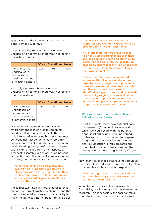approaches, and it is never used to rank all donors by ability to give.

Only 1 in 8 (12%) respondents have never undertaken or commissioned wealth screening of existing donors:

|                    | <b>Often</b> | Sometimes Never |     |
|--------------------|--------------|-----------------|-----|
| My charity has     | 22%          | 66%             | 12% |
| undertaken, or     |              |                 |     |
| commissioned,      |              |                 |     |
| wealth screening   |              |                 |     |
| of existing donors |              |                 |     |

And only a quarter (28%) have never undertaken or commissioned wealth screening of potential donors:

|                     | <b>Often</b> | Sometimes   Never |     |
|---------------------|--------------|-------------------|-----|
| My charity has      | 23%          | 49%               | 28% |
| undertaken, or      |              |                   |     |
| commissioned,       |              |                   |     |
| wealth screening    |              |                   |     |
| of potential donors |              |                   |     |

Despite its widespread use, fundraisers are aware that the idea of 'wealth screening' could be off-putting if it suggests they are only interested in knowing how much money someone has. Respondents countered this suggestion by explaining that information on wealth-holding is only useful when combined with insights gained from other aspects of prospect research, such as any prior, personal connection with the cause. As one respondent explains, the terminology is rather unhelpful:

"Wealth screening as a term probably doesn't help! I find that supporters are pleased to know that we understand their connections, have read their biographies and recognise other ways in which they can help the charity."

These first two findings show that research is an entirely normal practice in charities, and that donors – especially those with the capacity to make the biggest gifts – expect it to take place:

"I've never met a donor or potential supporter who wouldn't expect me to be prepared for a meeting with them."

"All of the major donors I have spoken to on this subject are unanimous in their appreciation of the care and attention to detail that has gone into the solicitation process to ensure that the kind of projects we have asked them to support align with their own interests."

"I have, over the years, encountered several multi-million pound donations to organisations by major donor prospects. None of these would have been possible had these prospects not been first identified as a good potential fit – i.e. with the capacity to give, with an inclination to be philanthropically motivated, with an interest in the particular project in need of support – by a prospect researcher."

#### **Why knowing a donor works in finance helped secure £10,000**

"Just this week I met a new potential donor. Our research (from public sources and which we would share with the potential donor if asked) helped us to understand his background in finance and be prepared for questions about our funding and cost analysis. Because we were prepared, the donor had more confidence in us and the charity and has now pledged a £10,000 gift."

New charities, or those that have not previously fundraised from individuals, are especially reliant on research, as this respondent explains:

#### "Fundraising is new to our organisation – we didn't have any current donors so we had to start with research."

A number of respondents emphasise that fundraising would simply be impossible without research. This is especially the case for major donor fundraising, as one respondent explains: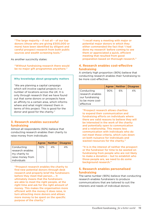"The large majority – if not all – of our top donors (those who are giving £500,000 or more) have been identified by diligent and careful prospect research from both public sources and wealth screening tools."

As another succinctly states:

"Without fundraising research there would be no major gift programmes anywhere."

# **Why knowledge about geography matters**

"We are planning a capital campaign which will involve capital projects in a number of locations across the UK. It is only through research that we have found out that some donors or prospects have an affinity to a certain area, which informs where and what might interest them in terms of this project. This is good for the donor and good for the charity."

# **3. Research enables successful fundraising**

Almost all respondents (92%) believe that conducting research enables their charity to raise money from individuals:

|                  |     |    | Agree   Neither   Disagree |
|------------------|-----|----|----------------------------|
| Conducting       | 92% | 4% | 4%                         |
| research enables |     |    |                            |
| my charity to    |     |    |                            |
| raise money from |     |    |                            |
| individuals      |     |    |                            |

"Prospect research enables the charity to find new potential donors through desk research and properly brief the fundraisers before they meet that person…. It ultimately means that the fundraisers are able to meet the right people, at the right time and ask for the right amount of money. This makes the organisation more efficient with the money it does raise, in turn attracting more donors and allows more money to be spent on the specific purpose of the charity."

"I recall many a meeting with major or potential major donors in which they either commended the fact that 'I had done my research' before coming to see them or appreciated a quick, efficient meeting that resulted from good preparation based on thorough research."

# **4. Research enables cost-effective fundraising**

A similarly high proportion (90%) believe that conducting research enables their fundraising to be more cost-effective.

|                  |     |    | Agree   Neither   Disagree |
|------------------|-----|----|----------------------------|
| Conducting       | 90% | 6% | 4%                         |
| research enables |     |    |                            |
| our fundraising  |     |    |                            |
| to be more cost- |     |    |                            |
| effective        |     |    |                            |

"Prospect research allows charities to expend their communication and fundraising efforts on individuals where there are valid reasons to believe they will be interested in the work of the charity and potentially open to communication and a relationship. This means less communication with individuals who do not meet these criteria, which cuts down on both nuisance for individuals and wasted resources for the charity."

"It is in the interest of neither the prospect or the fundraiser for time to be wasted on fundraising from people who are not likely to make a donation – but to establish who those people are, we need to do some background research."

# **5. Research enables personalised fundraising**

The same number (90%) believe that conducting research enables fundraisers to produce communications that are tailored to suit the interests and needs of individual donors.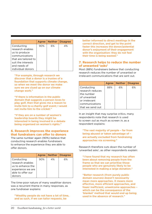|                      | Agree |    | Neither   Disagree |
|----------------------|-------|----|--------------------|
| Conducting           | 90%   | 6% | 4%                 |
| research enables     |       |    |                    |
| us to produce        |       |    |                    |
| communications       |       |    |                    |
| that are tailored to |       |    |                    |
| suit the interests   |       |    |                    |
| and needs of         |       |    |                    |
| individual donors    |       |    |                    |

"For example, through research we discover that a donor is a trustee of a foundation that supports climate change, so when we meet the donor we make sure we are clued up on our climate change work."

"If there is information in the public domain that suggests a person loves to play golf, then that gives me a reason to invite him to a charity golf event; I would not invite him to the cricket."

"If they are on a number of women's leadership boards they might be interested in being involved in a debate being organised on women's rights."

# **6. Research improves the experience that fundraisers can offer to donors**

The same number again (90%) believe that conducting research enables fundraisers to enhance the experience they are able to offer donors.

|                   | Agree |    | Neither   Disagree |
|-------------------|-------|----|--------------------|
| Conducting        | 90%   | 4% | 6%                 |
| research enables  |       |    |                    |
| us to enhance the |       |    |                    |
| experience we are |       |    |                    |
| able to offer our |       |    |                    |
| lonors            |       |    |                    |

The time-poor nature of many wealthier donors was a recurrent theme in many responses, as one fundraiser explains:

"Wealthy people do not have a lot of time, and as such, if we can tailor requests, be

better informed to direct meetings in the correct direction, and get to the point faster this increases the donor/potential donor's enjoyment of their engagement with the organisation: they do not feel their time is being wasted."

# **7. Research helps to reduce the number of unwanted 'asks'**

Most (88%) fundraisers believe that conducting research reduces the number of unwanted or irrelevant communications that are sent out.

|                  | Agree |    | Neither Disagree |
|------------------|-------|----|------------------|
| Conducting       | 88%   | 6% | 6%               |
| research reduces |       |    |                  |
| the number       |       |    |                  |
| of unwanted      |       |    |                  |
| or irrelevant    |       |    |                  |
| communications   |       |    |                  |
| that we send out |       |    |                  |

In an insight that may surprise critics, many respondents note that research is used to screen out as much as screen in, as a respondent explains:

"The vast majority of people – far from being abused or taken advantage of – are actually excluded from fundraising approaches via screening."

Research therefore cuts down the number of 'unwanted asks', as other respondents explain:

"I have found that my research has often been about removing people from the frame so that we can prioritise those people who are genuinely likely to be interested in making a large donation."

"Better research (from purely public domain sources) doesn't necessarily mean more approaches. It means more effective, more efficient approaches, and fewer inefficient, unwelcome approaches – which can be the consequence of the 'blanket' method that would end up being used in the absence of research."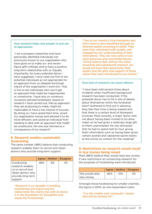# **How research helps rule people in and out of approaches**

"I am a prospect researcher and have personally identified individuals not previously known to our organisation who have gone on to make six- and sevenfigure gifts willingly and to have a positive, long-term relationship with us. Equally importantly, for every potential donor I have suggested, I have ruled out five to ten potential individuals as not appropriate for an approach from us (despite the broad nature of the organisation I work for). That is five to ten individuals who won't get an approach that might be inappropriate or unwelcome. I have also on numerous occasions advised fundraisers, based on research I have carried out, that an approach they are proposing to make, might be inadvisable or have a low chance of success. By doing so I have saved them time, saved my organisation money and allowed it to be more efficient, and saved an individual from needing to deal with an approach that might be unwelcome. No-one was harmed as a consequence of my research."

# **8. Research enables sustainable fundraising**

The same number (88%) believe that conducting research enables them to recruit and retain donors who provide long-term support.

|                   |     |    | Agree   Neither   Disagree |
|-------------------|-----|----|----------------------------|
| Conducting        | 88% | 8% | 4%                         |
| research enables  |     |    |                            |
| us to recruit and |     |    |                            |
| retain donors who |     |    |                            |
| provide long term |     |    |                            |
| support           |     |    |                            |

"Research is so valuable in building, maintaining and improving the relationship the charity has with its donor. It is the foundation for thoughtful and respectful fundraising."

"Two of our charity's Vice Presidents and £1m+ donors were identified through an external wealth screening in 2008. They were then stewarded with insight, and engaged by our understanding of their motivations. They are now some of our most generous and committed donors. I firmly believe that without the initial screening and subsequent research, we would not have their generosity, their loyalty and the gifts and support of those whom they have introduced to our charity."

#### **How lack of research can cause offence**

"I have been told several times about incidents when insufficient background research has been conducted. If the potential donor has to fill in lots of details about themselves which the fundraiser hasn't bothered to find out in advance, they feel their time is being wasted and that there is a certain level of disrespect involved. Most recently, a major donor told me about having been invited to his alma mater as he had given a relatively large gift to them unprompted. He was dismayed that he had to spend half an hour giving them information such as having been given certain awards and captained sports teams at the school as context for the meeting!"

# **9. Restrictions on research would result in less money being raised**

Most (86%) believe they would raise less money if new restrictions on conducting research for the purposes of fundraising were introduced.

|                |     |     | Agree   Neither   Disagree |
|----------------|-----|-----|----------------------------|
| We would raise | 86% | 10% | 4%                         |
| less money     |     |     |                            |

Amongst those fundraising for smaller charities, the figure is 100%, as one respondent notes:

"It is the smaller and 'unpopular' causes that will be hardest hit".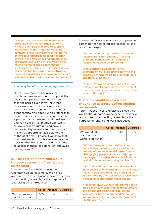"The impact, I believe, will be felt most profoundly by smaller organisations without a long track record of support and lacking in the 'right' network and contacts. I have seen how transformative an effective prospect research function can be in the efficiency and effectiveness of a small fundraising office, which from having no major supporters and no strategy for realising its fundraising goals, has been able to engage and cultivate a range of individuals who have gained much satisfaction from being part of our project."

#### **The many benefits of conducting research**

"If we know that a donor plays the trombone, we can ask them to support the chair of our principal trombonist rather than the harp player. If we know that they own an array of financial services companies, we can speak to them about client entertaining opportunities rather than brand sponsorship. If our research reveals a person that has just sold their business and has a once-in-a-lifetime opportunity to give a seven figure gift and have a cultural facility named after them, we can make that opportunity available to them at the right time. Likewise if we know that their business is in trouble we can take the decision that this would be a difficult time to approach them for a donation, and avoid causing upset."

#### **10. The cost of fundraising would increase as a result of restrictions on research**

The same number (86%) believe their fundraising would cost more, and have a worse return on investment, if new restrictions on conducting research for the purposes of fundraising were introduced.

|                 |     |        | Agree   Neither   Disagree |
|-----------------|-----|--------|----------------------------|
| Our fundraising | 86% | $11\%$ | 3%                         |
| would cost more |     |        |                            |

The reason for this is that blanket approaches cost more than targeted approaches, as one respondent explains:

"Without conducting research, we would relapse into 'spray and pray' – asking everyone in the hope that someone latches on to what we're saying."

"The alternative would be to mail everyone on our supporter base with the same asks which would be a considerable additional expense."

"You can't have your cake and eat it too. If donors want good return on investment then charities need to conduct research to achieve this goal."

### **11. Donors would have a worse experience as a result of restrictions on research**

Four-fifths (80%) of fundraisers believe they would offer donors a worse experience if new restrictions on conducting research for the purposes of fundraising were introduced.

|                  |     |     | Agree   Neither   Disagree |
|------------------|-----|-----|----------------------------|
| l We would offer | 80% | 13% | 7%                         |
| our donors a     |     |     |                            |
| worse experience |     |     |                            |

"Without research, fundraising is no more than a guessing game – and in the process of guessing we risk upsetting or disengaging people when we misjudge their capacity to give, their area of interest or their motivation for being involved."

"We find, without exception, that wealthy individuals not only expect us to have done this research, but are highly critical of us and irritated by any lack of research which leads to an inappropriate solicitation."

"Research gives us the vital information to stop potentially upsetting communications and information being sent to donors should they have experienced personal loss or an accident or family bereavement etc themselves."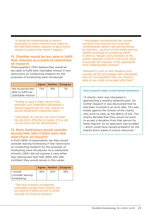"It would be embarrassing to send a fundraiser to meet someone and make an ask well above their capacity to give. Good research ensures that doesn't happen."

# **12. Charities would be less able to fulfill their missions as a result of restrictions on research**

Three-quarters (75%) believe they would be less able to fulfill their charitable mission if new restrictions on conducting research for the purposes of fundraising were introduced.

|                     |     |     | Agree   Neither   Disagree |
|---------------------|-----|-----|----------------------------|
| We would be less    | 75% | 18% | 7%                         |
| able to fulfill our |     |     |                            |
| charitable mission  |     |     |                            |

"Failing to spot a major donor from amongst your supporters represents a missed opportunity for your charity to secure funding for important work."

"Ultimately, it's not for me and to make my job more effective or easier, it's so we can do more for our beneficiaries."

# **13. Many fundraisers would consider leaving their jobs if there were new restrictions on research**

A third (36%) of respondents say they would consider leaving fundraising if new restrictions on conducting research for the purposes of fundraising were introduced. As a substantial minority (26%) did not express a view either way, leaving less than half (38%) who feel confident they would remain in this career.

|                                            |     |     | Agree   Neither   Disagree |
|--------------------------------------------|-----|-----|----------------------------|
| I would<br>consider leaving<br>fundraising | 36% | 26% | 38%                        |

"The very scenario of plaguing vulnerable people that charities are accused of is what we aim to avoid through this kind of research."

"I am deeply concerned by the current narrative that charities are somehow 'hoodwinking' donors into giving money to charities… sections of the media portray wealth screening as something which is done to 'target' every member of the public, whereas in fact it is far more likely to exclude the majority of the population from inappropriate conduct."

"Research is part of due diligence and ensures we do not engage with individuals who are incompatible with our charity's aims or we could not accept gifts from."

#### **How research helps avoid tainted donations**

"A charity client was interested in approaching a wealthy philanthropist. On further research it was discovered that he had been involved in an arms deal. This was totally against the mission of the charity who work to clear up the debris of war. The charity decided that they would not want to accept a donation from that person for these reasons. So an approach was avoided – which could have caused problems for the charity and a waste of scarce resources."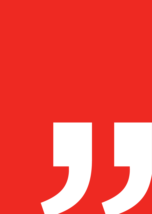

Excellent fundraising *for a better world*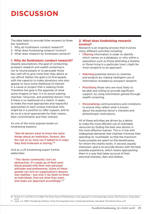# **DISCUSSION**

The data helps to provide fuller answers to three key questions:

- 1. Why do fundraisers conduct research?
- 2. What does fundraising research involve?
- 3. What does research by fundraisers achieve?

# **1. Why do fundraisers conduct research?**

Despite assumptions, the goal of conducting prospect research and wealth screening is not to hound people or to persuade those less well-off to give more than they desire or can afford. Rather the goal is to find people with the capacity to make donations who also appear to have some likelihood of interest in a cause or project that is seeking funds. Therefore the goal is the opposite of what some imagine or fear: it is to avoid wasting charities' resources, and potential donors' time if there is no likelihood of a match. It seeks to make the most appropriate and respectful approaches to each unique individual who might be in a position to offer support, and to do so at a level appropriate for their means, their commitments and their interest.

As one of the most popular books on fundraising explains:

"Not all donors want to know the same things about an institution. Donors, like the rest of us, tune out if talked to in ways they find irrelevant or boring."<sup>16</sup>

And as a US fundraising expert further elaborates:

"The 'donor community' isn't an abstraction. It's made up of flesh-andblood people with their own personal attitudes and preferences. Some of these people can turn an organization's dreams into realities – but only if we listen to them as individuals, find out what they want, and make our approach accordingly."17

# **2. What does fundraising research involve?**

Research is an ongoing process that involves many different activities including:

- **Filtering** information in order to identify which names on a database, or who within a population such as those attending a theatre, or those living in a particular town, might be most receptive to an approach.
- **Matching potential donors to charities** and projects by making intelligent use of information revealed by prospect research.
- Prioritising those who are most likely to be able and willing to provide significant support, by using information gained through wealth screening.
- Personalising communications and invitations to ensure they reflect what is known about the potential donor's interests and philanthropic motivations.

All of these activities are driven by a desire to make the most efficient use of charitable resources by finding the best new donors in the most effective manner. This is in line with widespread demands that charities minimise their spending on 'overheads' so that the maximum funds possible are spent on the beneficiaries for whom the charity exists. A second, equally important, goal is to provide donors with the best possible experience, which means approaching them in a way that takes account of their personal interests, likes and dislikes.

<sup>16</sup> Prince, R. A. and File, K. M. (1994) The Seven Faces of Philanthropy: A new approach to cultivating major donors, San Francisco: Jossey-Bass, p.xvi.

<sup>17</sup> Lord, J. G. (1987) The Raising of Money: Thirty-Five Essentials Every Trustee Should Know, Cleveland: Third Sector Press, p.12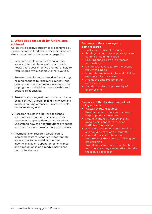# **3. What does research by fundraisers achieve?**

At least five positive outcomes are achieved by using research in fundraising, these findings are also summarised in the boxes on page 24:

- I. Research enables charities to tailor their approach to match donors' philanthropic goals: this is cost-effective and more likely to result in positive outcomes for all involved.
- II. Research enables more effective fundraising, helping charities to raise more, money (and gain access to non-monetary resources), by helping them to build more sustainable and positive relationships.
- III. Research stops a great deal of communication being sent out, thereby minimising waste and avoiding causing offence or upset to people on the receiving end.
- IV.Research results in a better experience for donors and supporters because they receive more appropriate communications, understand how their contributions are spent, and have a more enjoyable donor experience.
- V. Restrictions on research would lead to increased costs for charities, inappropriate approaches to potential donors, less income available to spend on beneficiaries and a reduction in an already small talent pool of fundraisers.

#### Summary of the advantages of doing research

- Cost-efficient use of resources
- Sending the most appropriate type and content of communication
- Ensuring fundraisers are prepared for meetings
- Demonstrates respect for the people they're talking to
- More relevant, meaningful and fulfilling experience for the donor
- Avoids the embarrassment of over-asking
- Avoids the missed opportunity of under-asking

#### Summary of the disadvantages of not doing research

- Wastes charity resources
- Wastes the time of people receiving inappropriate approaches
- Results in money given by existing donors being spent less well on inefficient fundraising
- Makes the charity look unprofessional and could be seen as disrespectful
- Means donors will miss out on opportunities that could be fulfilling and life-enriching
- Would hurt smaller and new charities most because they cannot afford to take the blanket approach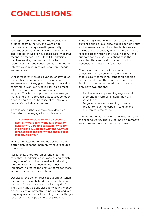# **CONCLUSIONS**

This report began by noting the prevalence of generosity in the UK, and went on to demonstrate that systematic generosity requires systematic fundraising. The findings and discussion above have explained what that means in practice. In a nutshell: Fundraising involves solving the puzzle of how best to raise funds for good causes by matching donor interests and resources with charitable needs and missions.

Whilst research includes a variety of strategies. the sophistication of which depends on the size and resources of any given charity, it boils down to trying to work out who is likely to be most interested in a cause and most able to offer support. This is the opposite of the scattergun, 'spray and pray' approach that causes so much offence and distress because of the obvious waste of charitable resources.

To take one further example provided by a fundraiser who engaged with this study:

"If a charity decides to hold an event to inspire interest in its work, is it better to invite any 100 people to attend, or to try and find the 100 people with the warmest connection to the charity and the biggest capacity to give?"

Whilst the latter option seems obviously the better plan, it cannot happen without recourse to research.

Research is, therefore, an essential part of thoughtful fundraising and good asking, which brings benefits to donors, makes fundraising more efficient and effective and, most importantly, creates the best outcome for those whom the charity exists to help.

Despite all the advantages set out above, when it comes to research, fundraisers feel they are damned if they do and damned if they don't. They will rightly be criticised for wasting money on inefficient or ineffective fundraising, and yet they may also criticised for doing the one thing – research – that helps avoid such problems.

Fundraising is tough in any climate, and the current period of austerity, public spending cuts and increased demand for charitable services makes this an especially difficult time for those responsible for raising the funds to serve and support good causes. Any changes in the way charities can conduct research will hurt beneficiaries most – not fundraisers.

Fundraisers must and will continue undertaking research within a framework that is legally compliant, respecting people's privacy rights, and the importance of trust. But it must be remembered that fundraisers only have two options:

- i. Blanket asks approaching anyone and everyone for support in hope they will strike lucky.
- ii. Targeted asks approaching those who appear to have the capacity to give and an interest in the cause.

The first option is inefficient and irritating, and the second works. There is no magic alternative way of raising funds if this path is closed.